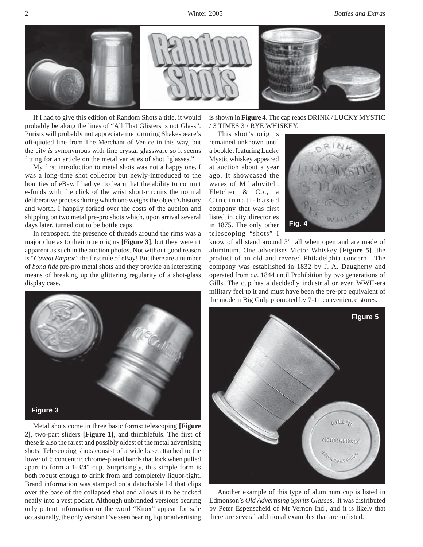

If I had to give this edition of Random Shots a title, it would probably be along the lines of "All That Glisters is not Glass". Purists will probably not appreciate me torturing Shakespeare's oft-quoted line from The Merchant of Venice in this way, but the city *is* synonymous with fine crystal glassware so it seems fitting for an article on the metal varieties of shot "glasses."

My first introduction to metal shots was not a happy one. I was a long-time shot collector but newly-introduced to the bounties of eBay. I had yet to learn that the ability to commit e-funds with the click of the wrist short-circuits the normal deliberative process during which one weighs the object's history and worth. I happily forked over the costs of the auction and shipping on two metal pre-pro shots which, upon arrival several days later, turned out to be bottle caps!

In retrospect, the presence of threads around the rims was a major clue as to their true origins **[Figure 3]**, but they weren't apparent as such in the auction photos. Not without good reason is "*Caveat Emptor*" the first rule of eBay! But there are a number of *bona fide* pre-pro metal shots and they provide an interesting means of breaking up the glittering regularity of a shot-glass display case.



Metal shots come in three basic forms: telescoping **[Figure 2]**, two-part sliders **[Figure 1]**, and thimblefuls. The first of these is also the rarest and possibly oldest of the metal advertising shots. Telescoping shots consist of a wide base attached to the lower of 5 concentric chrome-plated bands that lock when pulled apart to form a 1-3/4" cup. Surprisingly, this simple form is both robust enough to drink from and completely liquor-tight. Brand information was stamped on a detachable lid that clips over the base of the collapsed shot and allows it to be tucked neatly into a vest pocket. Although unbranded versions bearing only patent information or the word "Knox" appear for sale occasionally, the only version I've seen bearing liquor advertising

is shown in **Figure 4**. The cap reads DRINK / LUCKY MYSTIC / 3 TIMES 3 / RYE WHISKEY.

This shot's origins remained unknown until a booklet featuring Lucky Mystic whiskey appeared at auction about a year ago. It showcased the wares of Mihalovitch, Fletcher & Co., a Cincinnati-based company that was first listed in city directories in 1875. The only other telescoping "shots" I



know of all stand around 3" tall when open and are made of aluminum. One advertises Victor Whiskey **[Figure 5]**, the product of an old and revered Philadelphia concern. The company was established in 1832 by J. A. Daugherty and operated from *ca*. 1844 until Prohibition by two generations of Gills. The cup has a decidedly industrial or even WWII-era military feel to it and must have been the pre-pro equivalent of the modern Big Gulp promoted by 7-11 convenience stores.



Another example of this type of aluminum cup is listed in Edmonson's *Old Advertising Spirits Glasses*. It was distributed by Peter Espenscheid of Mt Vernon Ind., and it is likely that there are several additional examples that are unlisted.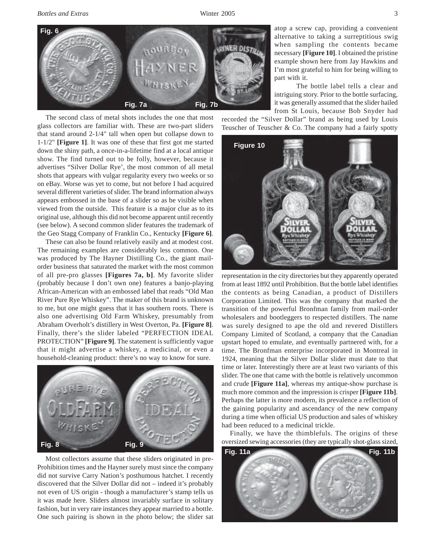*Bottles and Extras* Winter 2005 3



The second class of metal shots includes the one that most glass collectors are familiar with. These are two-part sliders that stand around 2-1/4" tall when open but collapse down to 1-1/2" **[Figure 1]**. It was one of these that first got me started down the shiny path, a once-in-a-lifetime find at a local antique show. The find turned out to be folly, however, because it advertises "Silver Dollar Rye', the most common of all metal shots that appears with vulgar regularity every two weeks or so on eBay. Worse was yet to come, but not before I had acquired several different varieties of slider. The brand information always appears embossed in the base of a slider so as be visible when viewed from the outside. This feature is a major clue as to its original use, although this did not become apparent until recently (see below). A second common slider features the trademark of the Geo Stagg Company of Franklin Co., Kentucky **[Figure 6]**.

These can also be found relatively easily and at modest cost. The remaining examples are considerably less common. One was produced by The Hayner Distilling Co., the giant mailorder business that saturated the market with the most common of all pre-pro glasses **[Figures 7a, b]**. My favorite slider (probably because I don't own one) features a banjo-playing African-American with an embossed label that reads "Old Man River Pure Rye Whiskey". The maker of this brand is unknown to me, but one might guess that it has southern roots. There is also one advertising Old Farm Whiskey, presumably from Abraham Overholt's distillery in West Overton, Pa. **[Figure 8]**. Finally, there's the slider labeled "PERFECTION IDEAL PROTECTION" **[Figure 9]**. The statement is sufficiently vague that it might advertise a whiskey, a medicinal, or even a household-cleaning product: there's no way to know for sure.



Most collectors assume that these sliders originated in pre-Prohibition times and the Hayner surely must since the company did not survive Carry Nation's posthumous hatchet. I recently discovered that the Silver Dollar did not – indeed it's probably not even of US origin - though a manufacturer's stamp tells us it was made here. Sliders almost invariably surface in solitary fashion, but in very rare instances they appear married to a bottle. One such pairing is shown in the photo below; the slider sat

atop a screw cap, providing a convenient alternative to taking a surreptitious swig when sampling the contents became necessary **[Figure 10]**. I obtained the pristine example shown here from Jay Hawkins and I'm most grateful to him for being willing to part with it.

The bottle label tells a clear and intriguing story. Prior to the bottle surfacing, it was generally assumed that the slider hailed from St Louis, because Bob Snyder had

recorded the "Silver Dollar" brand as being used by Louis Teuscher of Teuscher & Co. The company had a fairly spotty



representation in the city directories but they apparently operated from at least 1892 until Prohibition. But the bottle label identifies the contents as being Canadian, a product of Distillers Corporation Limited. This was the company that marked the transition of the powerful Bronfman family from mail-order wholesalers and bootleggers to respected distillers. The name was surely designed to ape the old and revered Distillers Company Limited of Scotland, a company that the Canadian upstart hoped to emulate, and eventually partnered with, for a time. The Bronfman enterprise incorporated in Montreal in 1924, meaning that the Silver Dollar slider must date to that time or later. Interestingly there are at least two variants of this slider. The one that came with the bottle is relatively uncommon and crude **[Figure 11a]**, whereas my antique-show purchase is much more common and the impression is crisper **[Figure 11b]**. Perhaps the latter is more modern, its prevalence a reflection of the gaining popularity and ascendancy of the new company during a time when official US production and sales of whiskey had been reduced to a medicinal trickle.

Finally, we have the thimblefuls. The origins of these oversized sewing accessories (they are typically shot-glass sized,

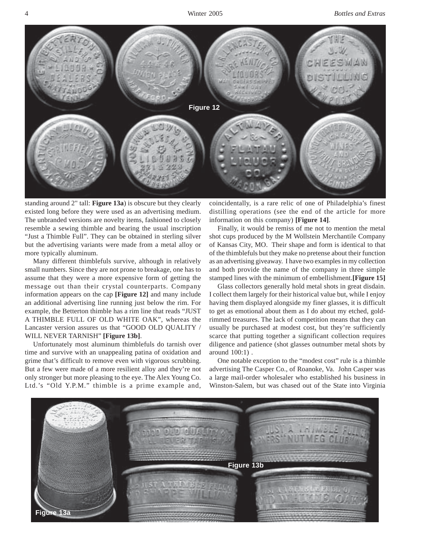

standing around 2" tall: **Figure 13a**) is obscure but they clearly existed long before they were used as an advertising medium. The unbranded versions are novelty items, fashioned to closely resemble a sewing thimble and bearing the usual inscription "Just a Thimble Full". They can be obtained in sterling silver but the advertising variants were made from a metal alloy or more typically aluminum.

Many different thimblefuls survive, although in relatively small numbers. Since they are not prone to breakage, one has to assume that they were a more expensive form of getting the message out than their crystal counterparts. Company information appears on the cap **[Figure 12]** and many include an additional advertising line running just below the rim. For example, the Betterton thimble has a rim line that reads "JUST A THIMBLE FULL OF OLD WHITE OAK", whereas the Lancaster version assures us that "GOOD OLD QUALITY / WILL NEVER TARNISH" **[Figure 13b]**.

Unfortunately most aluminum thimblefuls do tarnish over time and survive with an unappealing patina of oxidation and grime that's difficult to remove even with vigorous scrubbing. But a few were made of a more resilient alloy and they're not only stronger but more pleasing to the eye. The Alex Young Co. Ltd.'s "Old Y.P.M." thimble is a prime example and, coincidentally, is a rare relic of one of Philadelphia's finest distilling operations (see the end of the article for more information on this company) **[Figure 14]**.

Finally, it would be remiss of me not to mention the metal shot cups produced by the M Wollstein Merchantile Company of Kansas City, MO. Their shape and form is identical to that of the thimblefuls but they make no pretense about their function as an advertising giveaway. I have two examples in my collection and both provide the name of the company in three simple stamped lines with the minimum of embellishment.**[Figure 15]**

Glass collectors generally hold metal shots in great disdain. I collect them largely for their historical value but, while I enjoy having them displayed alongside my finer glasses, it is difficult to get as emotional about them as I do about my etched, goldrimmed treasures. The lack of competition means that they can usually be purchased at modest cost, but they're sufficiently scarce that putting together a significant collection requires diligence and patience (shot glasses outnumber metal shots by around 100:1) .

One notable exception to the "modest cost" rule is a thimble advertising The Casper Co., of Roanoke, Va. John Casper was a large mail-order wholesaler who established his business in Winston-Salem, but was chased out of the State into Virginia